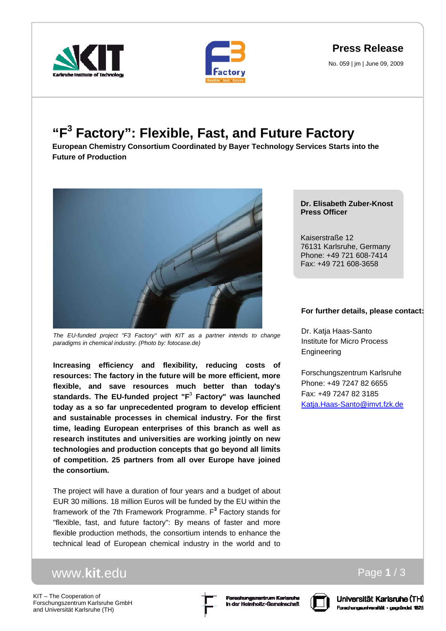





No. 059 | jm | June 09, 2009

## **"F3 Factory": Flexible, Fast, and Future Factory**

**European Chemistry Consortium Coordinated by Bayer Technology Services Starts into the Future of Production** 



*The EU-funded project "F3 Factory" with KIT as a partner intends to change paradigms in chemical industry. (Photo by: fotocase.de)* 

**Increasing efficiency and flexibility, reducing costs of resources: The factory in the future will be more efficient, more flexible, and save resources much better than today's standards. The EU-funded project "F**<sup>3</sup>  **Factory" was launched today as a so far unprecedented program to develop efficient and sustainable processes in chemical industry. For the first time, leading European enterprises of this branch as well as research institutes and universities are working jointly on new technologies and production concepts that go beyond all limits of competition. 25 partners from all over Europe have joined the consortium.** 

The project will have a duration of four years and a budget of about EUR 30 millions. 18 million Euros will be funded by the EU within the framework of the 7th Framework Programme. F**<sup>3</sup>** Factory stands for "flexible, fast, and future factory": By means of faster and more flexible production methods, the consortium intends to enhance the technical lead of European chemical industry in the world and to

## www.**kit**.edu

KIT – The Cooperation of Forschungszentrum Karlsruhe GmbH and Universität Karlsruhe (TH)





Page **1** / 3

**Dr. Elisabeth Zuber-Knost Press Officer** 

Kaiserstraße 12 76131 Karlsruhe, Germany Phone: +49 721 608-7414 Fax: +49 721 608-3658

## **For further details, please contact:**

Dr. Katja Haas-Santo Institute for Micro Process Engineering

Forschungszentrum Karlsruhe Phone: +49 7247 82 6655 Fax: +49 7247 82 3185 Katja.Haas-Santo@imvt.fzk.de

## Universität Karlsruhe (TH) Forschungsuniversität - gegründet 1825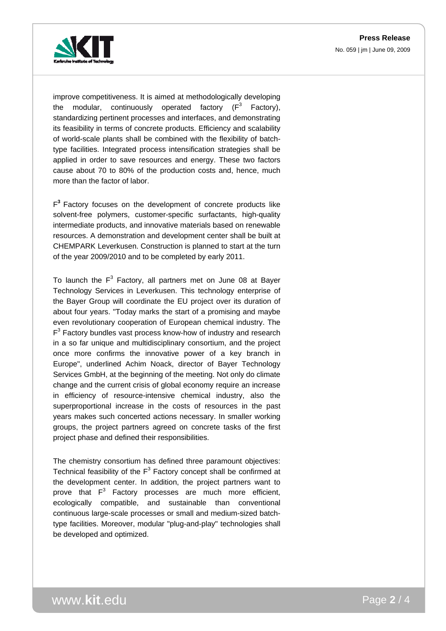

improve competitiveness. It is aimed at methodologically developing the modular, continuously operated factory  $(F^3$  Factory), standardizing pertinent processes and interfaces, and demonstrating its feasibility in terms of concrete products. Efficiency and scalability of world-scale plants shall be combined with the flexibility of batchtype facilities. Integrated process intensification strategies shall be applied in order to save resources and energy. These two factors cause about 70 to 80% of the production costs and, hence, much more than the factor of labor.

F**<sup>3</sup>**Factory focuses on the development of concrete products like solvent-free polymers, customer-specific surfactants, high-quality intermediate products, and innovative materials based on renewable resources. A demonstration and development center shall be built at CHEMPARK Leverkusen. Construction is planned to start at the turn of the year 2009/2010 and to be completed by early 2011.

To launch the  $F^3$  Factory, all partners met on June 08 at Bayer Technology Services in Leverkusen. This technology enterprise of the Bayer Group will coordinate the EU project over its duration of about four years. "Today marks the start of a promising and maybe even revolutionary cooperation of European chemical industry. The  $F<sup>3</sup>$  Factory bundles vast process know-how of industry and research in a so far unique and multidisciplinary consortium, and the project once more confirms the innovative power of a key branch in Europe", underlined Achim Noack, director of Bayer Technology Services GmbH, at the beginning of the meeting. Not only do climate change and the current crisis of global economy require an increase in efficiency of resource-intensive chemical industry, also the superproportional increase in the costs of resources in the past years makes such concerted actions necessary. In smaller working groups, the project partners agreed on concrete tasks of the first project phase and defined their responsibilities.

The chemistry consortium has defined three paramount objectives: Technical feasibility of the  $F^3$  Factory concept shall be confirmed at the development center. In addition, the project partners want to prove that  $F^3$  Factory processes are much more efficient, ecologically compatible, and sustainable than conventional continuous large-scale processes or small and medium-sized batchtype facilities. Moreover, modular "plug-and-play" technologies shall be developed and optimized.

www.**kit**.edu Page **2** / 4